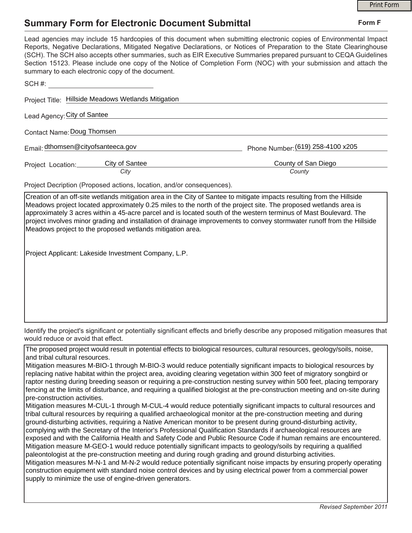## **Summary Form for Electronic Document Submittal**

|                                                                                                                                                                                                                                                                                                                                                                                                                                                                                                                                                        | <b>Print Form</b> |
|--------------------------------------------------------------------------------------------------------------------------------------------------------------------------------------------------------------------------------------------------------------------------------------------------------------------------------------------------------------------------------------------------------------------------------------------------------------------------------------------------------------------------------------------------------|-------------------|
| <b>Summary Form for Electronic Document Submittal</b>                                                                                                                                                                                                                                                                                                                                                                                                                                                                                                  | Form F            |
| Lead agencies may include 15 hardcopies of this document when submitting electronic copies of Environmental Impact<br>Reports, Negative Declarations, Mitigated Negative Declarations, or Notices of Preparation to the State Clearinghouse<br>(SCH). The SCH also accepts other summaries, such as EIR Executive Summaries prepared pursuant to CEQA Guidelines<br>Section 15123. Please include one copy of the Notice of Completion Form (NOC) with your submission and attach the<br>summary to each electronic copy of the document.              |                   |
| $SCH \#$                                                                                                                                                                                                                                                                                                                                                                                                                                                                                                                                               |                   |
| Project Title: Hillside Meadows Wetlands Mitigation                                                                                                                                                                                                                                                                                                                                                                                                                                                                                                    |                   |
| Lead Agency: City of Santee                                                                                                                                                                                                                                                                                                                                                                                                                                                                                                                            |                   |
| Contact Name: Doug Thomsen                                                                                                                                                                                                                                                                                                                                                                                                                                                                                                                             |                   |
| Email: dthomsen@cityofsanteeca.gov<br>Phone Number: (619) 258-4100 x205                                                                                                                                                                                                                                                                                                                                                                                                                                                                                |                   |
| City of Santee<br>County of San Diego<br>Project Location:<br>City<br>County                                                                                                                                                                                                                                                                                                                                                                                                                                                                           |                   |
| Project Decription (Proposed actions, location, and/or consequences).                                                                                                                                                                                                                                                                                                                                                                                                                                                                                  |                   |
| Creation of an off-site wetlands mitigation area in the City of Santee to mitigate impacts resulting from the Hillside<br>Meadows project located approximately 0.25 miles to the north of the project site. The proposed wetlands area is<br>approximately 3 acres within a 45-acre parcel and is located south of the western terminus of Mast Boulevard. The<br>project involves minor grading and installation of drainage improvements to convey stormwater runoff from the Hillside<br>Meadows project to the proposed wetlands mitigation area. |                   |

Project Applicant: Lakeside Investment Company, L.P.

Identify the project's significant or potentially significant effects and briefly describe any proposed mitigation measures that would reduce or avoid that effect.

The proposed project would result in potential effects to biological resources, cultural resources, geology/soils, noise, and tribal cultural resources.

Mitigation measures M-BIO-1 through M-BIO-3 would reduce potentially significant impacts to biological resources by replacing native habitat within the project area, avoiding clearing vegetation within 300 feet of migratory songbird or raptor nesting during breeding season or requiring a pre-construction nesting survey within 500 feet, placing temporary fencing at the limits of disturbance, and requiring a qualified biologist at the pre-construction meeting and on-site during pre-construction activities.

Mitigation measures M-CUL-1 through M-CUL-4 would reduce potentially significant impacts to cultural resources and tribal cultural resources by requiring a qualified archaeological monitor at the pre-construction meeting and during ground-disturbing activities, requiring a Native American monitor to be present during ground-disturbing activity, complying with the Secretary of the Interior's Professional Qualification Standards if archaeological resources are exposed and with the California Health and Safety Code and Public Resource Code if human remains are encountered. Mitigation measure M-GEO-1 would reduce potentially significant impacts to geology/soils by requiring a qualified paleontologist at the pre-construction meeting and during rough grading and ground disturbing activities. Mitigation measures M-N-1 and M-N-2 would reduce potentially significant noise impacts by ensuring properly operating construction equipment with standard noise control devices and by using electrical power from a commercial power supply to minimize the use of engine-driven generators.